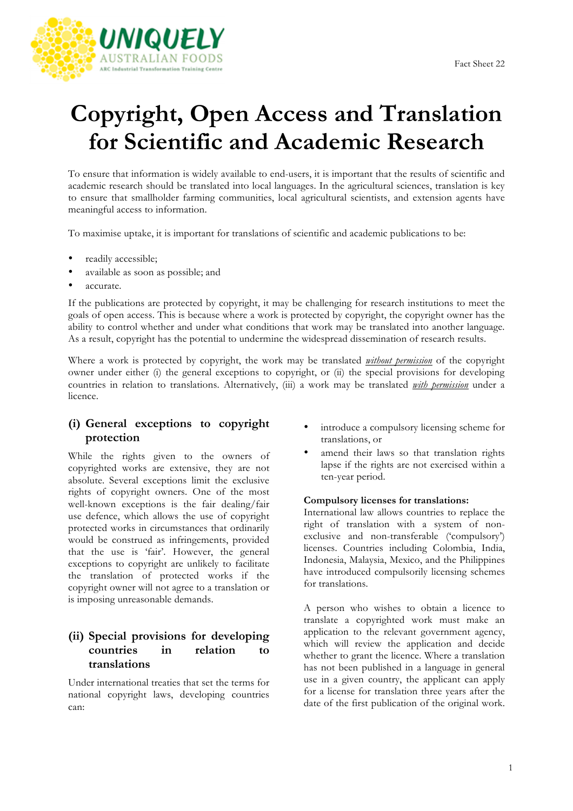

# **Copyright, Open Access and Translation for Scientific and Academic Research**

To ensure that information is widely available to end-users, it is important that the results of scientific and academic research should be translated into local languages. In the agricultural sciences, translation is key to ensure that smallholder farming communities, local agricultural scientists, and extension agents have meaningful access to information.

To maximise uptake, it is important for translations of scientific and academic publications to be:

- readily accessible;
- available as soon as possible; and
- accurate.

If the publications are protected by copyright, it may be challenging for research institutions to meet the goals of open access. This is because where a work is protected by copyright, the copyright owner has the ability to control whether and under what conditions that work may be translated into another language. As a result, copyright has the potential to undermine the widespread dissemination of research results.

Where a work is protected by copyright, the work may be translated *without permission* of the copyright owner under either (i) the general exceptions to copyright, or (ii) the special provisions for developing countries in relation to translations. Alternatively, (iii) a work may be translated *with permission* under a licence.

## **(i) General exceptions to copyright protection**

While the rights given to the owners of copyrighted works are extensive, they are not absolute. Several exceptions limit the exclusive rights of copyright owners. One of the most well-known exceptions is the fair dealing/fair use defence, which allows the use of copyright protected works in circumstances that ordinarily would be construed as infringements, provided that the use is 'fair'. However, the general exceptions to copyright are unlikely to facilitate the translation of protected works if the copyright owner will not agree to a translation or is imposing unreasonable demands.

## **(ii) Special provisions for developing countries in relation to translations**

Under international treaties that set the terms for national copyright laws, developing countries can:

- introduce a compulsory licensing scheme for translations, or
- amend their laws so that translation rights lapse if the rights are not exercised within a ten-year period.

#### **Compulsory licenses for translations:**

International law allows countries to replace the right of translation with a system of nonexclusive and non-transferable ('compulsory') licenses. Countries including Colombia, India, Indonesia, Malaysia, Mexico, and the Philippines have introduced compulsorily licensing schemes for translations.

A person who wishes to obtain a licence to translate a copyrighted work must make an application to the relevant government agency, which will review the application and decide whether to grant the licence. Where a translation has not been published in a language in general use in a given country, the applicant can apply for a license for translation three years after the date of the first publication of the original work.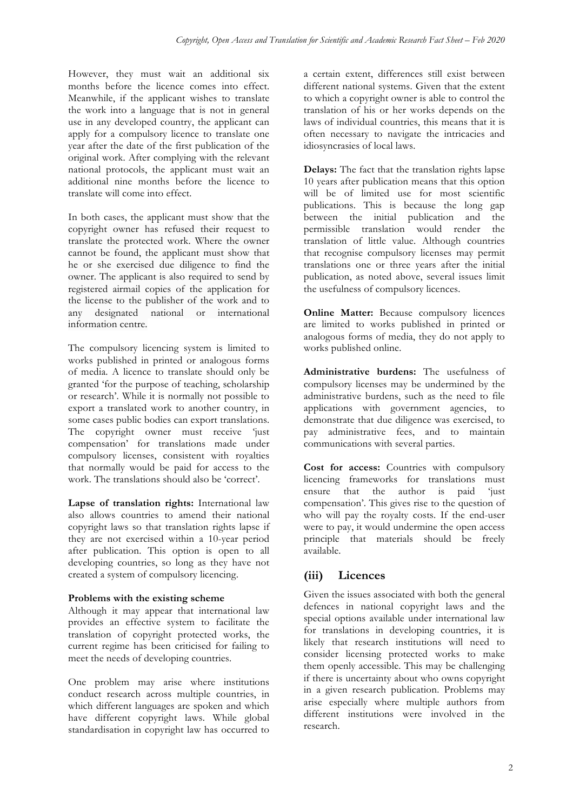However, they must wait an additional six months before the licence comes into effect. Meanwhile, if the applicant wishes to translate the work into a language that is not in general use in any developed country, the applicant can apply for a compulsory licence to translate one year after the date of the first publication of the original work. After complying with the relevant national protocols, the applicant must wait an additional nine months before the licence to translate will come into effect.

In both cases, the applicant must show that the copyright owner has refused their request to translate the protected work. Where the owner cannot be found, the applicant must show that he or she exercised due diligence to find the owner. The applicant is also required to send by registered airmail copies of the application for the license to the publisher of the work and to any designated national or international information centre.

The compulsory licencing system is limited to works published in printed or analogous forms of media. A licence to translate should only be granted 'for the purpose of teaching, scholarship or research'. While it is normally not possible to export a translated work to another country, in some cases public bodies can export translations. The copyright owner must receive 'just compensation' for translations made under compulsory licenses, consistent with royalties that normally would be paid for access to the work. The translations should also be 'correct'.

**Lapse of translation rights:** International law also allows countries to amend their national copyright laws so that translation rights lapse if they are not exercised within a 10-year period after publication. This option is open to all developing countries, so long as they have not created a system of compulsory licencing.

### **Problems with the existing scheme**

Although it may appear that international law provides an effective system to facilitate the translation of copyright protected works, the current regime has been criticised for failing to meet the needs of developing countries.

One problem may arise where institutions conduct research across multiple countries, in which different languages are spoken and which have different copyright laws. While global standardisation in copyright law has occurred to a certain extent, differences still exist between different national systems. Given that the extent to which a copyright owner is able to control the translation of his or her works depends on the laws of individual countries, this means that it is often necessary to navigate the intricacies and idiosyncrasies of local laws.

**Delays:** The fact that the translation rights lapse 10 years after publication means that this option will be of limited use for most scientific publications. This is because the long gap between the initial publication and the permissible translation would render the translation of little value. Although countries that recognise compulsory licenses may permit translations one or three years after the initial publication, as noted above, several issues limit the usefulness of compulsory licences.

**Online Matter:** Because compulsory licences are limited to works published in printed or analogous forms of media, they do not apply to works published online.

**Administrative burdens:** The usefulness of compulsory licenses may be undermined by the administrative burdens, such as the need to file applications with government agencies, to demonstrate that due diligence was exercised, to pay administrative fees, and to maintain communications with several parties.

**Cost for access:** Countries with compulsory licencing frameworks for translations must ensure that the author is paid 'just compensation'. This gives rise to the question of who will pay the royalty costs. If the end-user were to pay, it would undermine the open access principle that materials should be freely available.

## **(iii) Licences**

Given the issues associated with both the general defences in national copyright laws and the special options available under international law for translations in developing countries, it is likely that research institutions will need to consider licensing protected works to make them openly accessible. This may be challenging if there is uncertainty about who owns copyright in a given research publication. Problems may arise especially where multiple authors from different institutions were involved in the research.